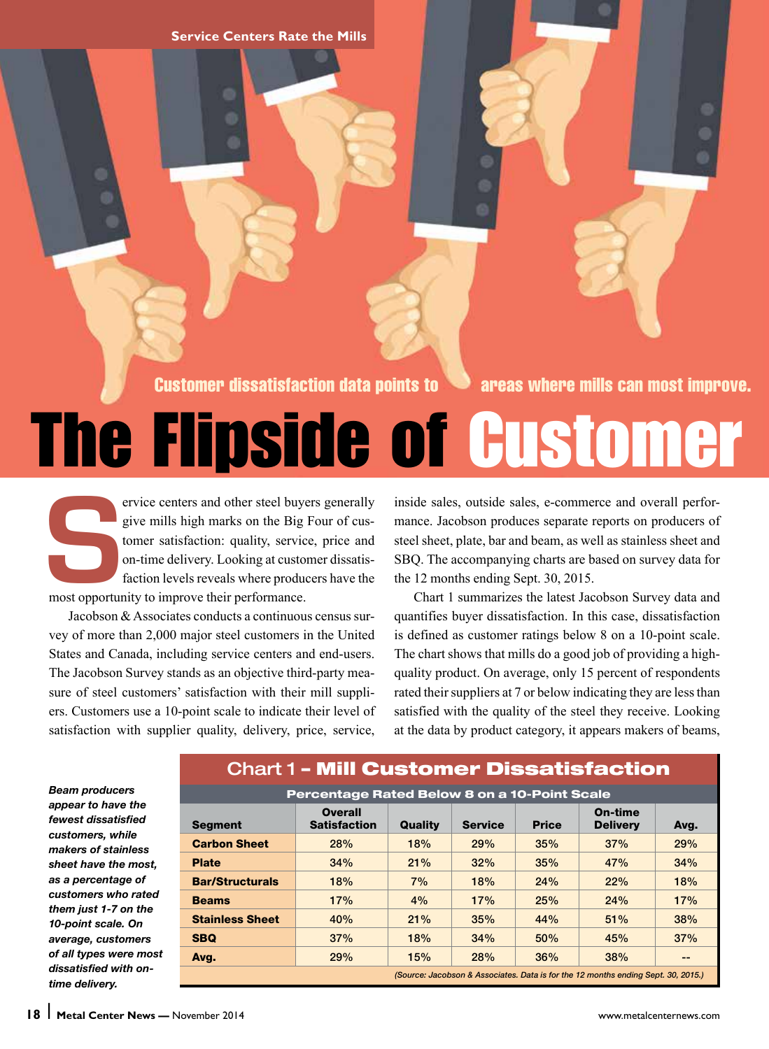**Service Centers Rate the Mills**

Customer dissatisfaction data points to **an** areas where mills can most improve.

# The Flipside of Customer

ervice centers and other steel buyers generally<br>give mills high marks on the Big Four of cus-<br>tomer satisfaction: quality, service, price and<br>on-time delivery. Looking at customer dissatis-<br>faction levels reveals where pro give mills high marks on the Big Four of customer satisfaction: quality, service, price and on-time delivery. Looking at customer dissatisfaction levels reveals where producers have the most opportunity to improve their performance.

Jacobson & Associates conducts a continuous census survey of more than 2,000 major steel customers in the United States and Canada, including service centers and end-users. The Jacobson Survey stands as an objective third-party measure of steel customers' satisfaction with their mill suppliers. Customers use a 10-point scale to indicate their level of satisfaction with supplier quality, delivery, price, service,

inside sales, outside sales, e-commerce and overall performance. Jacobson produces separate reports on producers of steel sheet, plate, bar and beam, as well as stainless sheet and SBQ. The accompanying charts are based on survey data for the 12 months ending Sept. 30, 2015.

Chart 1 summarizes the latest Jacobson Survey data and quantifies buyer dissatisfaction. In this case, dissatisfaction is defined as customer ratings below 8 on a 10-point scale. The chart shows that mills do a good job of providing a highquality product. On average, only 15 percent of respondents rated their suppliers at 7 or below indicating they are less than satisfied with the quality of the steel they receive. Looking at the data by product category, it appears makers of beams,

*Beam producers appear to have the fewest dissatisfied customers, while makers of stainless sheet have the most, as a percentage of customers who rated them just 1-7 on the 10-point scale. On average, customers of all types were most dissatisfied with ontime delivery.* 

# Chart 1 – Mill Customer Dissatisfaction Percentage Rated Below 8 on a 10-Point Scale

| Percentage Rated Below 8 on a 10-Point Scale                                      |                                       |         |                |              |                            |      |
|-----------------------------------------------------------------------------------|---------------------------------------|---------|----------------|--------------|----------------------------|------|
| <b>Segment</b>                                                                    | <b>Overall</b><br><b>Satisfaction</b> | Quality | <b>Service</b> | <b>Price</b> | On-time<br><b>Delivery</b> | Avg. |
| <b>Carbon Sheet</b>                                                               | 28%                                   | 18%     | 29%            | 35%          | 37%                        | 29%  |
| <b>Plate</b>                                                                      | 34%                                   | 21%     | 32%            | 35%          | 47%                        | 34%  |
| <b>Bar/Structurals</b>                                                            | 18%                                   | 7%      | 18%            | 24%          | 22%                        | 18%  |
| <b>Beams</b>                                                                      | 17%                                   | 4%      | 17%            | 25%          | 24%                        | 17%  |
| <b>Stainless Sheet</b>                                                            | 40%                                   | 21%     | 35%            | 44%          | 51%                        | 38%  |
| <b>SBQ</b>                                                                        | 37%                                   | 18%     | 34%            | 50%          | 45%                        | 37%  |
| Avg.                                                                              | 29%                                   | 15%     | 28%            | 36%          | 38%                        | --   |
| (Source: Jacobson & Associates. Data is for the 12 months ending Sept. 30, 2015.) |                                       |         |                |              |                            |      |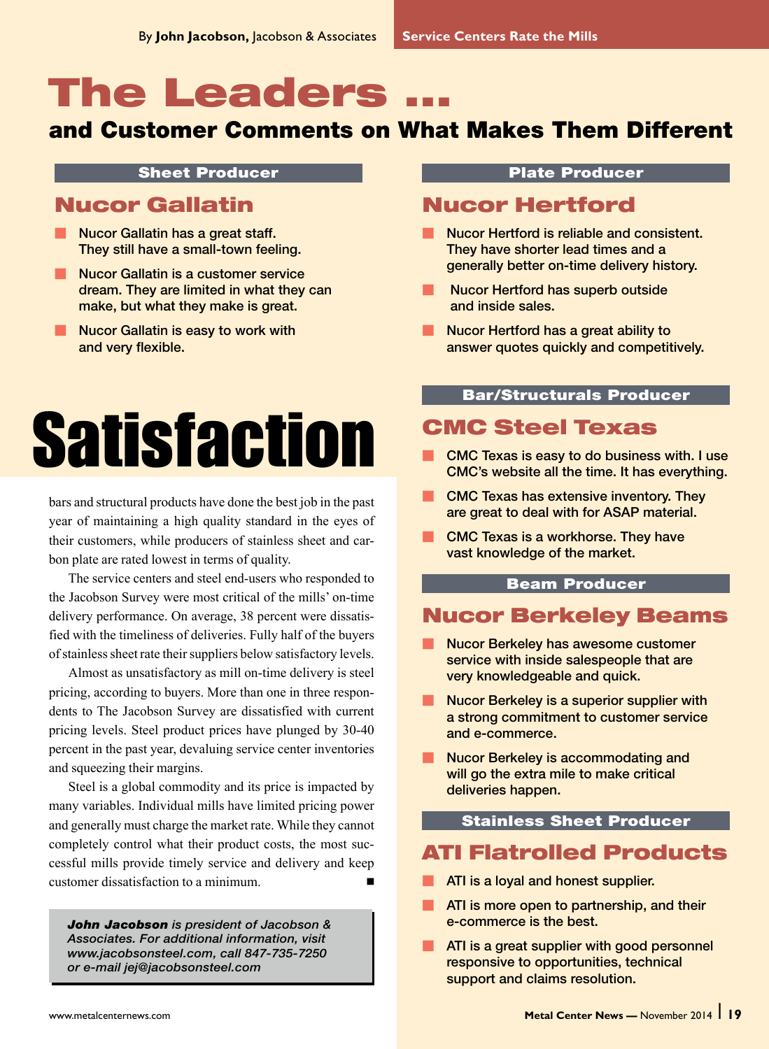# **The Leaders**

# and Customer Comments on What Makes Them Different

#### Sheet Producer

# Nucor Gallatin

- Nucor Gallatin has a great staff. They still have a small-town feeling.
- **M** Nucor Gallatin is a customer service dream. They are limited in what they can make, but what they make is great.
- Nucor Gallatin is easy to work with and very flexible.

# **Satisfaction**

bars and structural products have done the best job in the past year of maintaining a high quality standard in the eyes of their customers, while producers of stainless sheet and carbon plate are rated lowest in terms of quality.

The service centers and steel end-users who responded to the Jacobson Survey were most critical of the mills' on-time delivery performance. On average, 38 percent were dissatisfied with the timeliness of deliveries. Fully half of the buyers of stainless sheet rate their suppliers below satisfactory levels.

Almost as unsatisfactory as mill on-time delivery is steel pricing, according to buyers. More than one in three respondents to The Jacobson Survey are dissatisfied with current pricing levels. Steel product prices have plunged by 30-40 percent in the past year, devaluing service center inventories and squeezing their margins.

Steel is a global commodity and its price is impacted by many variables. Individual mills have limited pricing power and generally must charge the market rate. While they cannot completely control what their product costs, the most successful mills provide timely service and delivery and keep customer dissatisfaction to a minimum.

*John Jacobson is president of Jacobson & Associates. For additional information, visit www.jacobsonsteel.com, call 847-735-7250 or e-mail jej@jacobsonsteel.com*

#### Plate Producer

# Nucor Hertford

- Nucor Hertford is reliable and consistent. They have shorter lead times and a generally better on-time delivery history.
- **Nucor Hertford has superb outside** and inside sales.
- Mucor Hertford has a great ability to answer quotes quickly and competitively.

#### Bar/Structurals Producer

# CMC Steel Texas

- CMC Texas is easy to do business with. I use CMC's website all the time. It has everything.
- $\blacksquare$  CMC Texas has extensive inventory. They are great to deal with for ASAP material.
- **M CMC Texas is a workhorse. They have** vast knowledge of the market.

#### Beam Producer

# Nucor Berkeley Beams

- Nucor Berkeley has awesome customer service with inside salespeople that are very knowledgeable and quick.
- **Mucor Berkeley is a superior supplier with** a strong commitment to customer service and e-commerce.
- **M** Nucor Berkeley is accommodating and will go the extra mile to make critical deliveries happen.

#### Stainless Sheet Producer

# ATI Flatrolled Products

- **M ATI is a loyal and honest supplier.**
- **M ATI is more open to partnership, and their** e-commerce is the best.
- **M** ATI is a great supplier with good personnel responsive to opportunities, technical support and claims resolution.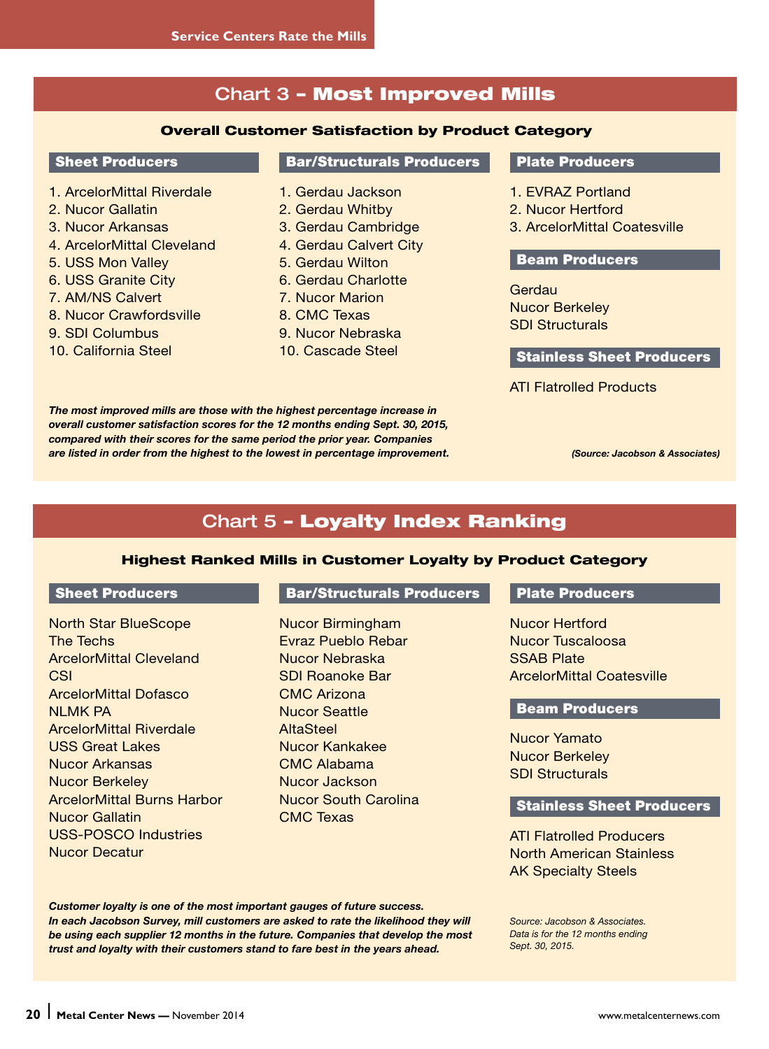# Chart 3 – Most Improved Mills

#### Overall Customer Satisfaction by Product Category

#### Sheet Producers

- 1. ArcelorMittal Riverdale
- 2. Nucor Gallatin
- 3. Nucor Arkansas
- 4. ArcelorMittal Cleveland
- 5. USS Mon Valley
- 6. USS Granite City
- 7. AM/NS Calvert
- 8. Nucor Crawfordsville
- 9. SDI Columbus
- 10. California Steel

#### Bar/Structurals Producers

- 1. Gerdau Jackson
- 2. Gerdau Whitby
- 3. Gerdau Cambridge
- 4. Gerdau Calvert City
- 5. Gerdau Wilton
- 6. Gerdau Charlotte
- 7. Nucor Marion
- 8. CMC Texas
- 9. Nucor Nebraska
- 10. Cascade Steel

#### Plate Producers

- 1. EVRAZ Portland
- 2. Nucor Hertford
- 3. ArcelorMittal Coatesville

### Beam Producers

**Gerdau** Nucor Berkeley SDI Structurals

#### Stainless Sheet Producers

ATI Flatrolled Products

*The most improved mills are those with the highest percentage increase in overall customer satisfaction scores for the 12 months ending Sept. 30, 2015, compared with their scores for the same period the prior year. Companies are listed in order from the highest to the lowest in percentage improvement. (Source: Jacobson & Associates)*

# Chart 5 – Loyalty Index Ranking

#### Highest Ranked Mills in Customer Loyalty by Product Category

#### Sheet Producers

North Star BlueScope The Techs ArcelorMittal Cleveland **CSI** ArcelorMittal Dofasco **NI MK PA** ArcelorMittal Riverdale USS Great Lakes Nucor Arkansas Nucor Berkeley ArcelorMittal Burns Harbor Nucor Gallatin USS-POSCO Industries Nucor Decatur

#### Bar/Structurals Producers

Nucor Birmingham Evraz Pueblo Rebar Nucor Nebraska SDI Roanoke Bar CMC Arizona Nucor Seattle **AltaSteel** Nucor Kankakee CMC Alabama Nucor Jackson Nucor South Carolina CMC Texas

#### Plate Producers

Nucor Hertford Nucor Tuscaloosa SSAB Plate ArcelorMittal Coatesville

#### Beam Producers

Nucor Yamato Nucor Berkeley SDI Structurals

#### Stainless Sheet Producers

ATI Flatrolled Producers North American Stainless AK Specialty Steels

*Customer loyalty is one of the most important gauges of future success. In each Jacobson Survey, mill customers are asked to rate the likelihood they will be using each supplier 12 months in the future. Companies that develop the most trust and loyalty with their customers stand to fare best in the years ahead.*

*Source: Jacobson & Associates. Data is for the 12 months ending Sept. 30, 2015.*